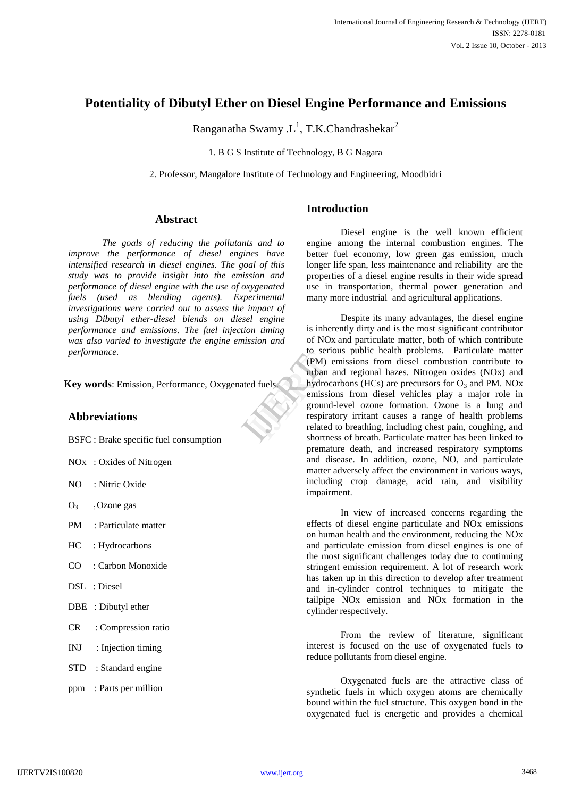# **Potentiality of Dibutyl Ether on Diesel Engine Performance and Emissions**

Ranganatha Swamy .L<sup>1</sup>, T.K.Chandrashekar<sup>2</sup>

1. B G S Institute of Technology, B G Nagara

2. Professor, Mangalore Institute of Technology and Engineering, Moodbidri

## **Abstract**

*The goals of reducing the pollutants and to improve the performance of diesel engines have intensified research in diesel engines. The goal of this study was to provide insight into the emission and performance of diesel engine with the use of oxygenated fuels (used as blending agents). Experimental investigations were carried out to assess the impact of using Dibutyl ether-diesel blends on diesel engine performance and emissions. The fuel injection timing was also varied to investigate the engine emission and performance.*

**Key words**: Emission, Performance, Oxygenated fuels.

# **Abbreviations**

BSFC : Brake specific fuel consumption

- NOx : Oxides of Nitrogen
- NO : Nitric Oxide
- $O<sub>3</sub>$  . Ozone gas
- PM : Particulate matter
- HC : Hydrocarbons
- CO : Carbon Monoxide
- DSL : Diesel
- DBE : Dibutyl ether
- CR : Compression ratio
- INJ : Injection timing
- STD : Standard engine
- ppm : Parts per million

**Introduction**

Diesel engine is the well known efficient engine among the internal combustion engines. The better fuel economy, low green gas emission, much longer life span, less maintenance and reliability are the properties of a diesel engine results in their wide spread use in transportation, thermal power generation and many more industrial and agricultural applications.

Despite its many advantages, the diesel engine is inherently dirty and is the most significant contributor of NOx and particulate matter, both of which contribute to serious public health problems. Particulate matter (PM) emissions from diesel combustion contribute to urban and regional hazes. Nitrogen oxides (NOx) and hydrocarbons (HCs) are precursors for  $O_3$  and PM. NOx emissions from diesel vehicles play a major role in ground-level ozone formation. Ozone is a lung and respiratory irritant causes a range of health problems related to breathing, including chest pain, coughing, and shortness of breath. Particulate matter has been linked to premature death, and increased respiratory symptoms and disease. In addition, ozone, NO, and particulate matter adversely affect the environment in various ways, including crop damage, acid rain, and visibility impairment. Formulated the series of the series of the contract of the series of the series of the series of the series of the shortness

> In view of increased concerns regarding the effects of diesel engine particulate and NOx emissions on human health and the environment, reducing the NOx and particulate emission from diesel engines is one of the most significant challenges today due to continuing stringent emission requirement. A lot of research work has taken up in this direction to develop after treatment and in-cylinder control techniques to mitigate the tailpipe NOx emission and NOx formation in the cylinder respectively.

> From the review of literature, significant interest is focused on the use of oxygenated fuels to reduce pollutants from diesel engine.

> Oxygenated fuels are the attractive class of synthetic fuels in which oxygen atoms are chemically bound within the fuel structure. This oxygen bond in the oxygenated fuel is energetic and provides a chemical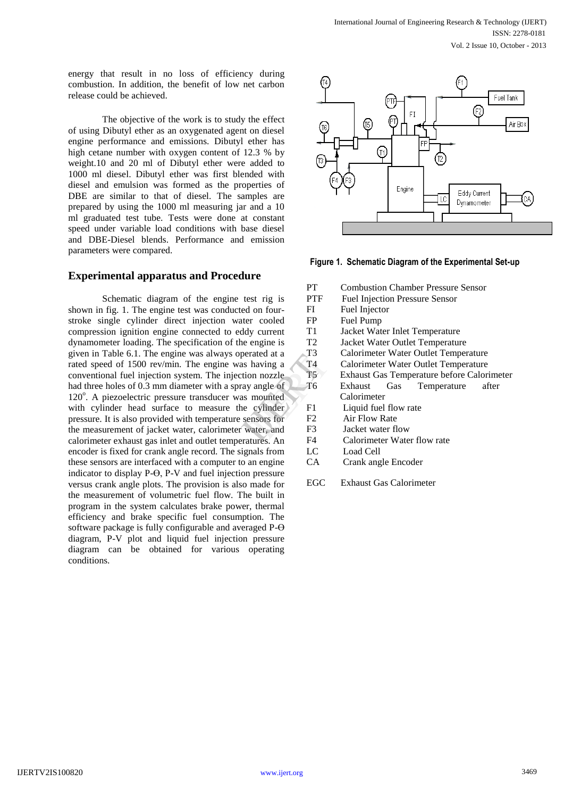energy that result in no loss of efficiency during combustion. In addition, the benefit of low net carbon release could be achieved.

The objective of the work is to study the effect of using Dibutyl ether as an oxygenated agent on diesel engine performance and emissions. Dibutyl ether has high cetane number with oxygen content of 12.3 % by weight.10 and 20 ml of Dibutyl ether were added to 1000 ml diesel. Dibutyl ether was first blended with diesel and emulsion was formed as the properties of DBE are similar to that of diesel. The samples are prepared by using the 1000 ml measuring jar and a 10 ml graduated test tube. Tests were done at constant speed under variable load conditions with base diesel and DBE-Diesel blends. Performance and emission parameters were compared.

#### **Experimental apparatus and Procedure**

Schematic diagram of the engine test rig is shown in fig. 1. The engine test was conducted on fourstroke single cylinder direct injection water cooled compression ignition engine connected to eddy current dynamometer loading. The specification of the engine is given in Table 6.1. The engine was always operated at a rated speed of 1500 rev/min. The engine was having a conventional fuel injection system. The injection nozzle had three holes of 0.3 mm diameter with a spray angle of 120°. A piezoelectric pressure transducer was mounted with cylinder head surface to measure the cylinder pressure. It is also provided with temperature sensors for the measurement of jacket water, calorimeter water, and calorimeter exhaust gas inlet and outlet temperatures. An encoder is fixed for crank angle record. The signals from these sensors are interfaced with a computer to an engine indicator to display P-Ө, P-V and fuel injection pressure versus crank angle plots. The provision is also made for the measurement of volumetric fuel flow. The built in program in the system calculates brake power, thermal efficiency and brake specific fuel consumption. The software package is fully configurable and averaged P-Ө diagram, P-V plot and liquid fuel injection pressure diagram can be obtained for various operating conditions.



**Figure 1. Schematic Diagram of the Experimental Set-up**

|            | PТ             | <b>Combustion Chamber Pressure Sensor</b>  |  |
|------------|----------------|--------------------------------------------|--|
|            |                |                                            |  |
| st rig is  | <b>PTF</b>     | <b>Fuel Injection Pressure Sensor</b>      |  |
| on four-   | FI             | Fuel Injector                              |  |
| r cooled   | <b>FP</b>      | Fuel Pump                                  |  |
| y current  | T1             | Jacket Water Inlet Temperature             |  |
| engine is  | T <sub>2</sub> | Jacket Water Outlet Temperature            |  |
| rated at a | T3             | Calorimeter Water Outlet Temperature       |  |
| having a   | Τ4             | Calorimeter Water Outlet Temperature       |  |
| on nozzle  | T5             | Exhaust Gas Temperature before Calorimeter |  |
| angle of   | Т6             | Temperature<br>Exhaust<br>Gas<br>after     |  |
| mounted    |                | Calorimeter                                |  |
| cylinder   | F1             | Liquid fuel flow rate                      |  |
| ensors for | F2             | Air Flow Rate                              |  |
| ater, and  | F3             | Jacket water flow                          |  |
| tures. An  | F4             | Calorimeter Water flow rate                |  |
| nals from  | LC             | Load Cell                                  |  |

- CA Crank angle Encoder
- EGC Exhaust Gas Calorimeter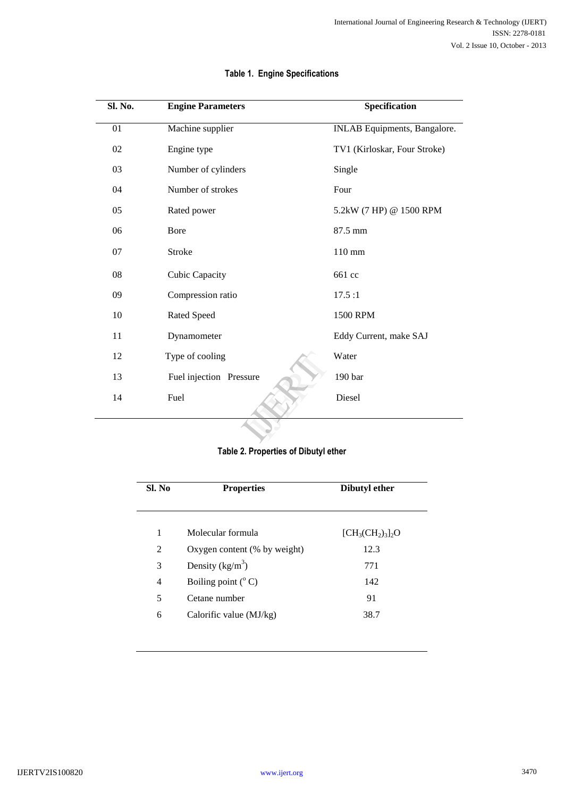| Sl. No. | <b>Engine Parameters</b> | Specification                |
|---------|--------------------------|------------------------------|
| 01      | Machine supplier         | INLAB Equipments, Bangalore. |
| 02      | Engine type              | TV1 (Kirloskar, Four Stroke) |
| 03      | Number of cylinders      | Single                       |
| 04      | Number of strokes        | Four                         |
| 05      | Rated power              | 5.2kW (7 HP) @ 1500 RPM      |
| 06      | Bore                     | 87.5 mm                      |
| 07      | Stroke                   | 110 mm                       |
| 08      | Cubic Capacity           | 661 cc                       |
| 09      | Compression ratio        | 17.5:1                       |
| 10      | Rated Speed              | 1500 RPM                     |
| 11      | Dynamometer              | Eddy Current, make SAJ       |
| 12      | Type of cooling          | Water                        |
| 13      | Fuel injection Pressure  | 190 bar                      |
| 14      | Fuel                     | Diesel                       |
|         |                          |                              |

# **Table 1. Engine Specifications**

# **Table 2. Properties of Dibutyl ether**

| Sl. No | <b>Properties</b>            | Dibutyl ether      |
|--------|------------------------------|--------------------|
| 1      | Molecular formula            | $[CH_3CH_2)_3]_2O$ |
| 2      | Oxygen content (% by weight) | 12.3               |
| 3      | Density $(kg/m^3)$           | 771                |
| 4      | Boiling point $(^{\circ}C)$  | 142                |
| 5      | Cetane number                | 91                 |
| 6      | Calorific value (MJ/kg)      | 38.7               |
|        |                              |                    |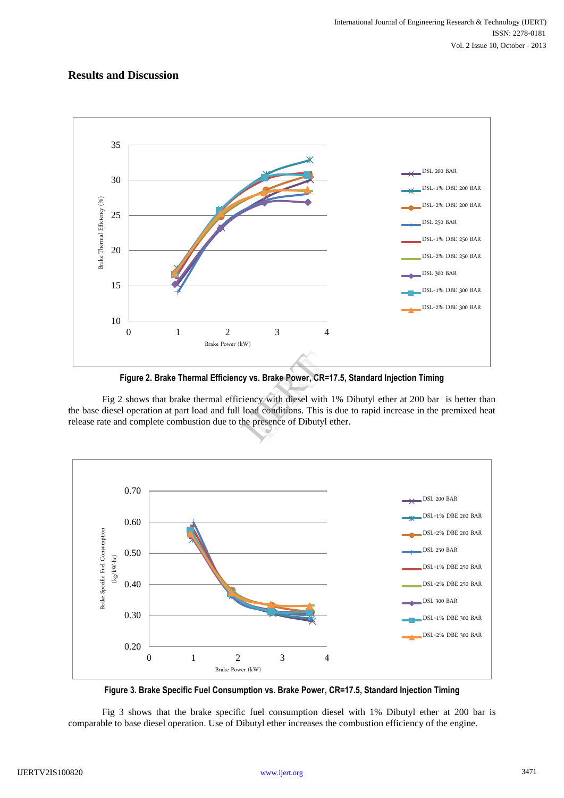# **Results and Discussion**



**Figure 2. Brake Thermal Efficiency vs. Brake Power, CR=17.5, Standard Injection Timing**

Fig 2 shows that brake thermal efficiency with diesel with 1% Dibutyl ether at 200 bar is better than the base diesel operation at part load and full load conditions. This is due to rapid increase in the premixed heat release rate and complete combustion due to the presence of Dibutyl ether. vs. Brake Power, CR=17.<br>ncy with diesel with 19<br>ad conditions. This is d<br>presence of Dibutyl eth



**Figure 3. Brake Specific Fuel Consumption vs. Brake Power, CR=17.5, Standard Injection Timing**

Fig 3 shows that the brake specific fuel consumption diesel with 1% Dibutyl ether at 200 bar is comparable to base diesel operation. Use of Dibutyl ether increases the combustion efficiency of the engine.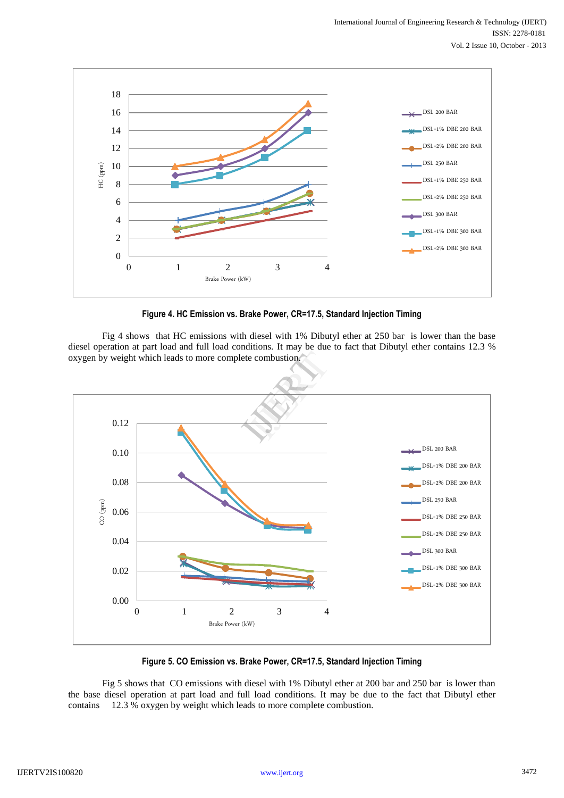

**Figure 4. HC Emission vs. Brake Power, CR=17.5, Standard Injection Timing**

Fig 4 shows that HC emissions with diesel with 1% Dibutyl ether at 250 bar is lower than the base diesel operation at part load and full load conditions. It may be due to fact that Dibutyl ether contains 12.3 % oxygen by weight which leads to more complete combustion.



**Figure 5. CO Emission vs. Brake Power, CR=17.5, Standard Injection Timing**

Fig 5 shows that CO emissions with diesel with 1% Dibutyl ether at 200 bar and 250 bar is lower than the base diesel operation at part load and full load conditions. It may be due to the fact that Dibutyl ether contains 12.3 % oxygen by weight which leads to more complete combustion.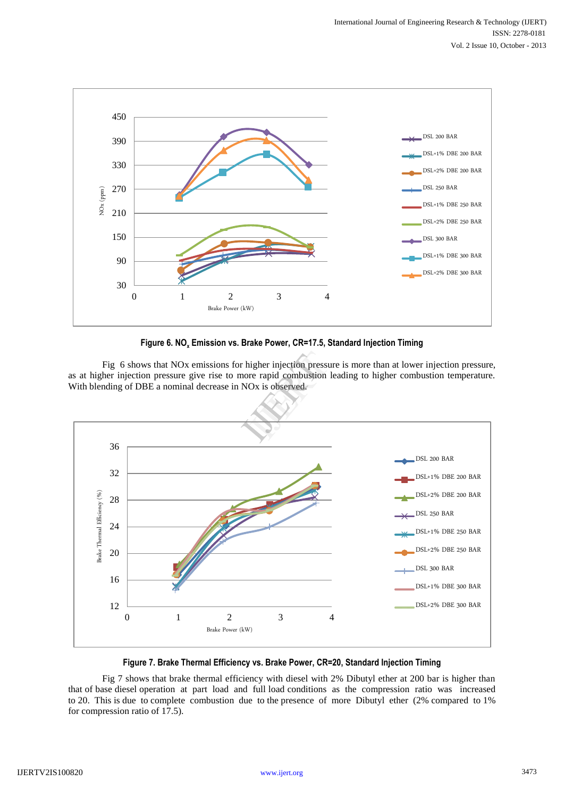

#### **Figure 6. NO<sup>x</sup> Emission vs. Brake Power, CR=17.5, Standard Injection Timing**

Fig 6 shows that NOx emissions for higher injection pressure is more than at lower injection pressure, as at higher injection pressure give rise to more rapid combustion leading to higher combustion temperature. With blending of DBE a nominal decrease in NOx is observed.



#### **Figure 7. Brake Thermal Efficiency vs. Brake Power, CR=20, Standard Injection Timing**

Fig 7 shows that brake thermal efficiency with diesel with 2% Dibutyl ether at 200 bar is higher than that of base diesel operation at part load and full load conditions as the compression ratio was increased to 20. This is due to complete combustion due to the presence of more Dibutyl ether (2% compared to 1% for compression ratio of 17.5).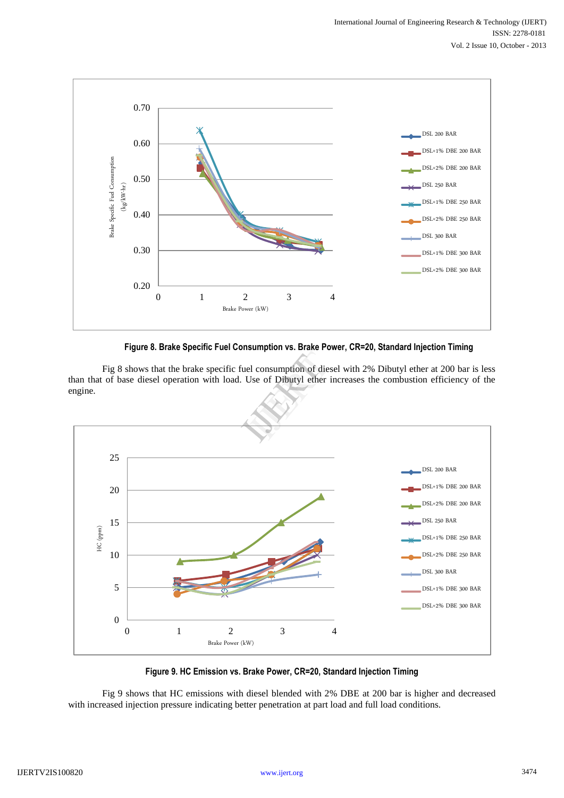![](_page_6_Figure_1.jpeg)

**Figure 8. Brake Specific Fuel Consumption vs. Brake Power, CR=20, Standard Injection Timing**

Fig 8 shows that the brake specific fuel consumption of diesel with 2% Dibutyl ether at 200 bar is less than that of base diesel operation with load. Use of Dibutyl ether increases the combustion efficiency of the engine.

![](_page_6_Figure_4.jpeg)

**Figure 9. HC Emission vs. Brake Power, CR=20, Standard Injection Timing**

Fig 9 shows that HC emissions with diesel blended with 2% DBE at 200 bar is higher and decreased with increased injection pressure indicating better penetration at part load and full load conditions.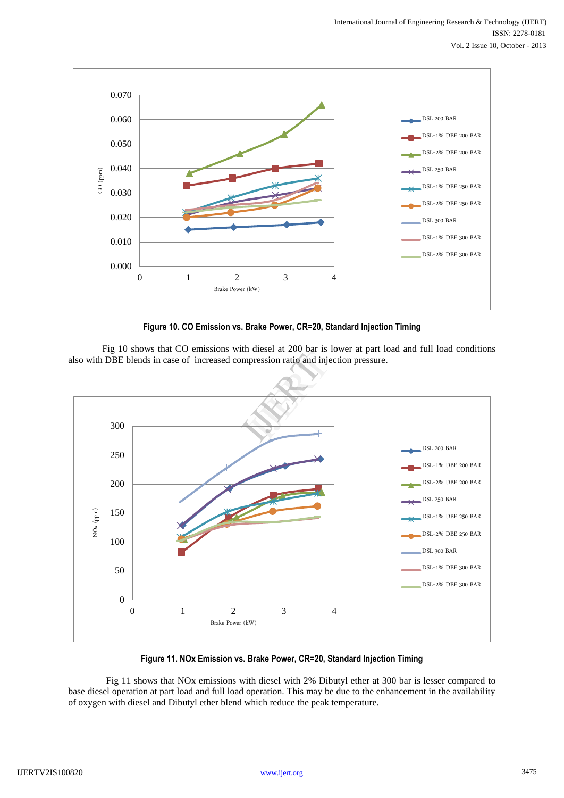![](_page_7_Figure_1.jpeg)

**Figure 10. CO Emission vs. Brake Power, CR=20, Standard Injection Timing**

Fig 10 shows that CO emissions with diesel at 200 bar is lower at part load and full load conditions

![](_page_7_Figure_4.jpeg)

**Figure 11. NOx Emission vs. Brake Power, CR=20, Standard Injection Timing**

 Fig 11 shows that NOx emissions with diesel with 2% Dibutyl ether at 300 bar is lesser compared to base diesel operation at part load and full load operation. This may be due to the enhancement in the availability of oxygen with diesel and Dibutyl ether blend which reduce the peak temperature.